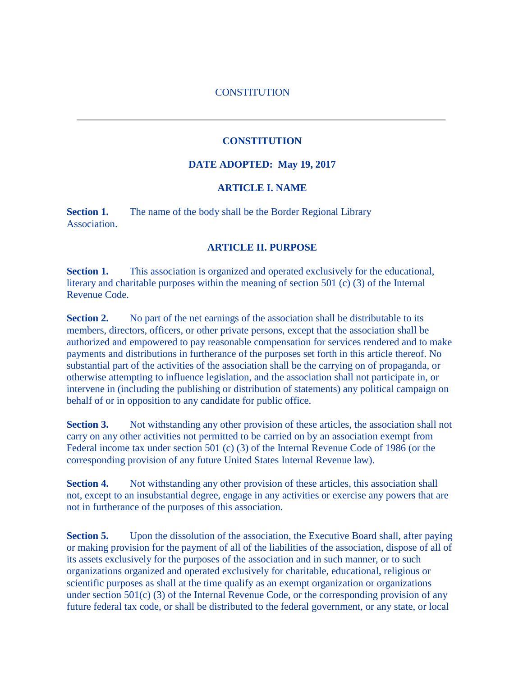#### **CONSTITUTION**

#### **CONSTITUTION**

#### **DATE ADOPTED: May 19, 2017**

### **ARTICLE I. NAME**

**Section 1.** The name of the body shall be the Border Regional Library Association.

#### **ARTICLE II. PURPOSE**

**Section 1.** This association is organized and operated exclusively for the educational, literary and charitable purposes within the meaning of section 501 (c) (3) of the Internal Revenue Code.

**Section 2.** No part of the net earnings of the association shall be distributable to its members, directors, officers, or other private persons, except that the association shall be authorized and empowered to pay reasonable compensation for services rendered and to make payments and distributions in furtherance of the purposes set forth in this article thereof. No substantial part of the activities of the association shall be the carrying on of propaganda, or otherwise attempting to influence legislation, and the association shall not participate in, or intervene in (including the publishing or distribution of statements) any political campaign on behalf of or in opposition to any candidate for public office.

**Section 3.** Not withstanding any other provision of these articles, the association shall not carry on any other activities not permitted to be carried on by an association exempt from Federal income tax under section 501 (c) (3) of the Internal Revenue Code of 1986 (or the corresponding provision of any future United States Internal Revenue law).

**Section 4.** Not withstanding any other provision of these articles, this association shall not, except to an insubstantial degree, engage in any activities or exercise any powers that are not in furtherance of the purposes of this association.

**Section 5.** Upon the dissolution of the association, the Executive Board shall, after paying or making provision for the payment of all of the liabilities of the association, dispose of all of its assets exclusively for the purposes of the association and in such manner, or to such organizations organized and operated exclusively for charitable, educational, religious or scientific purposes as shall at the time qualify as an exempt organization or organizations under section 501(c) (3) of the Internal Revenue Code, or the corresponding provision of any future federal tax code, or shall be distributed to the federal government, or any state, or local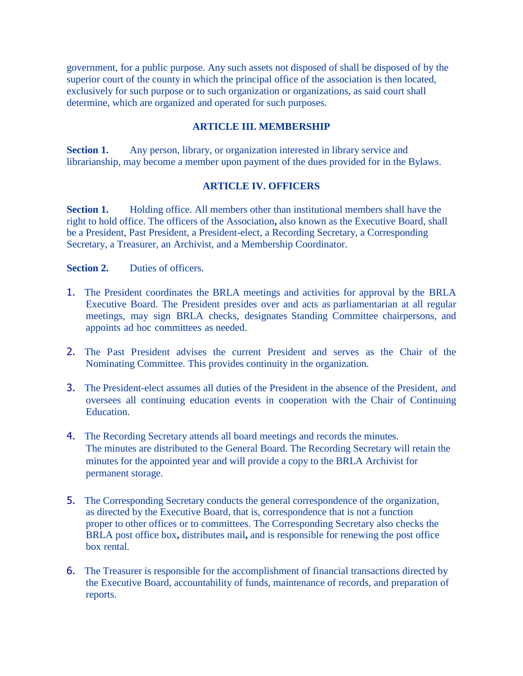government, for a public purpose. Any such assets not disposed of shall be disposed of by the superior court of the county in which the principal office of the association is then located, exclusively for such purpose or to such organization or organizations, as said court shall determine, which are organized and operated for such purposes.

### **ARTICLE III. MEMBERSHIP**

**Section 1.** Any person, library, or organization interested in library service and librarianship, may become a member upon payment of the dues provided for in the Bylaws.

#### **ARTICLE IV. OFFICERS**

**Section 1.** Holding office. All members other than institutional members shall have the right to hold office. The officers of the Association**,** also known as the Executive Board, shall be a President, Past President, a President-elect, a Recording Secretary, a Corresponding Secretary, a Treasurer, an Archivist, and a Membership Coordinator.

**Section 2.** Duties of officers.

- 1. The President coordinates the BRLA meetings and activities for approval by the BRLA Executive Board. The President presides over and acts as parliamentarian at all regular meetings, may sign BRLA checks, designates Standing Committee chairpersons, and appoints ad hoc committees as needed.
- 2. The Past President advises the current President and serves as the Chair of the Nominating Committee. This provides continuity in the organization.
- 3. The President-elect assumes all duties of the President in the absence of the President, and oversees all continuing education events in cooperation with the Chair of Continuing Education.
- 4. The Recording Secretary attends all board meetings and records the minutes. The minutes are distributed to the General Board. The Recording Secretary will retain the minutes for the appointed year and will provide a copy to the BRLA Archivist for permanent storage.
- 5. The Corresponding Secretary conducts the general correspondence of the organization, as directed by the Executive Board, that is, correspondence that is not a function proper to other offices or to committees. The Corresponding Secretary also checks the BRLA post office box**,** distributes mail**,** and is responsible for renewing the post office box rental.
- 6. The Treasurer is responsible for the accomplishment of financial transactions directed by the Executive Board, accountability of funds, maintenance of records, and preparation of reports.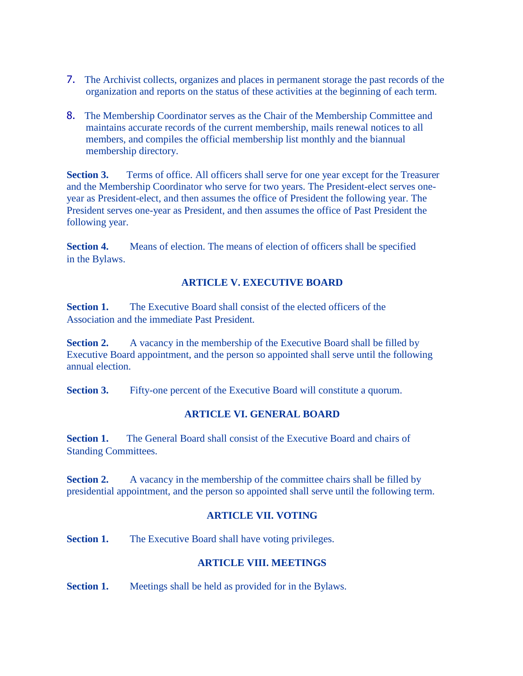- 7. The Archivist collects, organizes and places in permanent storage the past records of the organization and reports on the status of these activities at the beginning of each term.
- 8. The Membership Coordinator serves as the Chair of the Membership Committee and maintains accurate records of the current membership, mails renewal notices to all members, and compiles the official membership list monthly and the biannual membership directory.

**Section 3.** Terms of office. All officers shall serve for one year except for the Treasurer and the Membership Coordinator who serve for two years. The President-elect serves oneyear as President-elect, and then assumes the office of President the following year. The President serves one-year as President, and then assumes the office of Past President the following year.

**Section 4.** Means of election. The means of election of officers shall be specified in the Bylaws.

# **ARTICLE V. EXECUTIVE BOARD**

**Section 1.** The Executive Board shall consist of the elected officers of the Association and the immediate Past President.

**Section 2.** A vacancy in the membership of the Executive Board shall be filled by Executive Board appointment, and the person so appointed shall serve until the following annual election.

**Section 3.** Fifty-one percent of the Executive Board will constitute a quorum.

### **ARTICLE VI. GENERAL BOARD**

**Section 1.** The General Board shall consist of the Executive Board and chairs of Standing Committees.

**Section 2.** A vacancy in the membership of the committee chairs shall be filled by presidential appointment, and the person so appointed shall serve until the following term.

### **ARTICLE VII. VOTING**

**Section 1.** The Executive Board shall have voting privileges.

# **ARTICLE VIII. MEETINGS**

**Section 1.** Meetings shall be held as provided for in the Bylaws.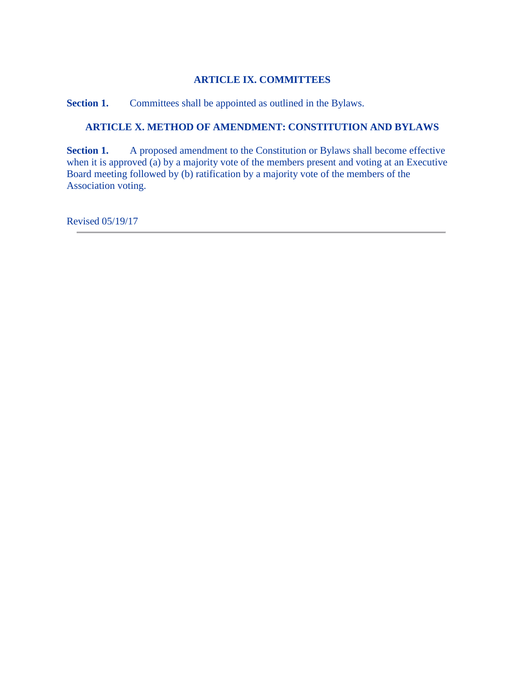# **ARTICLE IX. COMMITTEES**

**Section 1.** Committees shall be appointed as outlined in the Bylaws.

# **ARTICLE X. METHOD OF AMENDMENT: CONSTITUTION AND BYLAWS**

**Section 1.** A proposed amendment to the Constitution or Bylaws shall become effective when it is approved (a) by a majority vote of the members present and voting at an Executive Board meeting followed by (b) ratification by a majority vote of the members of the Association voting.

Revised 05/19/17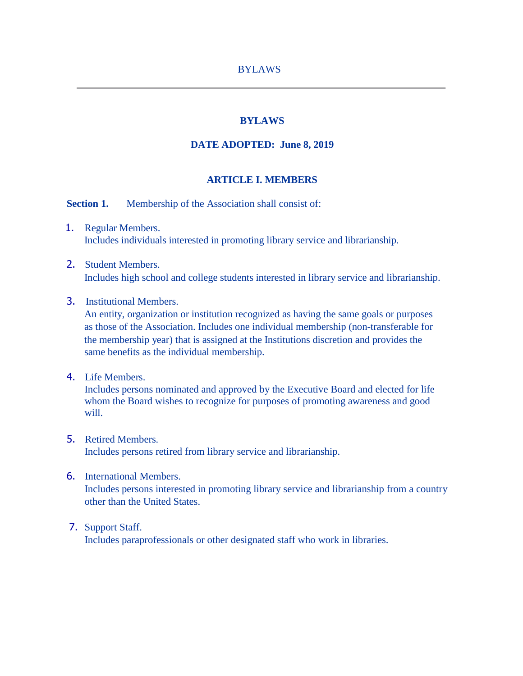### **BYLAWS**

### **DATE ADOPTED: June 8, 2019**

#### **ARTICLE I. MEMBERS**

**Section 1.** Membership of the Association shall consist of:

- 1. Regular Members. Includes individuals interested in promoting library service and librarianship.
- 2. Student Members. Includes high school and college students interested in library service and librarianship.
- 3. Institutional Members.

 An entity, organization or institution recognized as having the same goals or purposes as those of the Association. Includes one individual membership (non-transferable for the membership year) that is assigned at the Institutions discretion and provides the same benefits as the individual membership.

4. Life Members.

Includes persons nominated and approved by the Executive Board and elected for life whom the Board wishes to recognize for purposes of promoting awareness and good will.

- 5. Retired Members. Includes persons retired from library service and librarianship.
- 6. International Members.

 Includes persons interested in promoting library service and librarianship from a country other than the United States.

7. Support Staff.

Includes paraprofessionals or other designated staff who work in libraries.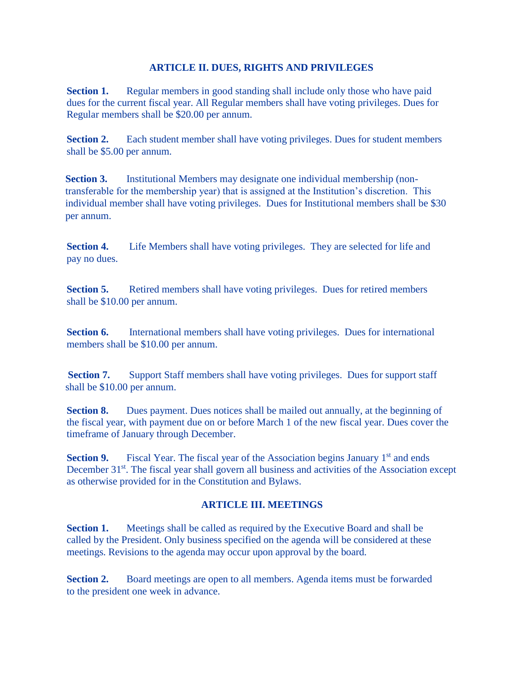### **ARTICLE II. DUES, RIGHTS AND PRIVILEGES**

**Section 1.** Regular members in good standing shall include only those who have paid dues for the current fiscal year. All Regular members shall have voting privileges. Dues for Regular members shall be \$20.00 per annum.

**Section 2.** Each student member shall have voting privileges. Dues for student members shall be \$5.00 per annum.

**Section 3.** Institutional Members may designate one individual membership (nontransferable for the membership year) that is assigned at the Institution's discretion. This individual member shall have voting privileges. Dues for Institutional members shall be \$30 per annum.

**Section 4.** Life Members shall have voting privileges. They are selected for life and pay no dues.

**Section 5.** Retired members shall have voting privileges. Dues for retired members shall be \$10.00 per annum.

**Section 6.** International members shall have voting privileges. Dues for international members shall be \$10.00 per annum.

**Section 7.** Support Staff members shall have voting privileges. Dues for support staff shall be \$10.00 per annum.

**Section 8.** Dues payment. Dues notices shall be mailed out annually, at the beginning of the fiscal year, with payment due on or before March 1 of the new fiscal year. Dues cover the timeframe of January through December.

**Section 9.** Fiscal Year. The fiscal year of the Association begins January 1<sup>st</sup> and ends December 31<sup>st</sup>. The fiscal year shall govern all business and activities of the Association except as otherwise provided for in the Constitution and Bylaws.

# **ARTICLE III. MEETINGS**

**Section 1.** Meetings shall be called as required by the Executive Board and shall be called by the President. Only business specified on the agenda will be considered at these meetings. Revisions to the agenda may occur upon approval by the board.

**Section 2.** Board meetings are open to all members. Agenda items must be forwarded to the president one week in advance.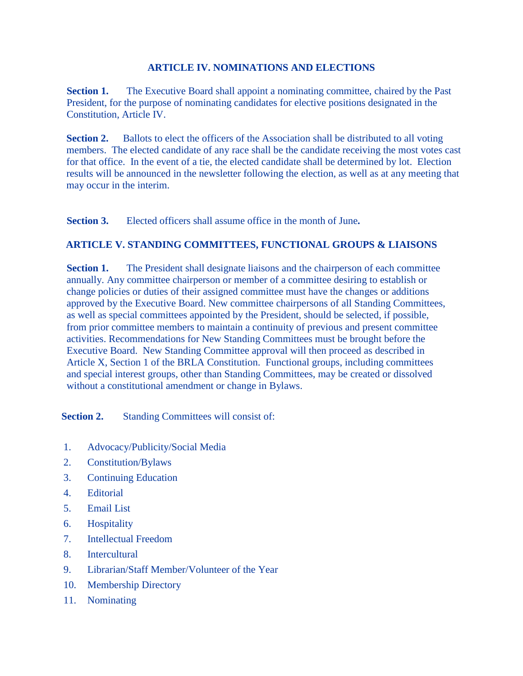### **ARTICLE IV. NOMINATIONS AND ELECTIONS**

**Section 1.** The Executive Board shall appoint a nominating committee, chaired by the Past President, for the purpose of nominating candidates for elective positions designated in the Constitution, Article IV.

**Section 2.** Ballots to elect the officers of the Association shall be distributed to all voting members. The elected candidate of any race shall be the candidate receiving the most votes cast for that office. In the event of a tie, the elected candidate shall be determined by lot. Election results will be announced in the newsletter following the election, as well as at any meeting that may occur in the interim.

 **Section 3.** Elected officers shall assume office in the month of June**.**

# **ARTICLE V. STANDING COMMITTEES, FUNCTIONAL GROUPS & LIAISONS**

**Section 1.** The President shall designate liaisons and the chairperson of each committee annually. Any committee chairperson or member of a committee desiring to establish or change policies or duties of their assigned committee must have the changes or additions approved by the Executive Board. New committee chairpersons of all Standing Committees, as well as special committees appointed by the President, should be selected, if possible, from prior committee members to maintain a continuity of previous and present committee activities. Recommendations for New Standing Committees must be brought before the Executive Board. New Standing Committee approval will then proceed as described in Article X, Section 1 of the BRLA Constitution. Functional groups, including committees and special interest groups, other than Standing Committees, may be created or dissolved without a constitutional amendment or change in Bylaws.

**Section 2.** Standing Committees will consist of:

- 1. Advocacy/Publicity/Social Media
- 2. Constitution/Bylaws
- 3. Continuing Education
- 4. Editorial
- 5. Email List
- 6. Hospitality
- 7. Intellectual Freedom
- 8. Intercultural
- 9. Librarian/Staff Member/Volunteer of the Year
- 10. Membership Directory
- 11. Nominating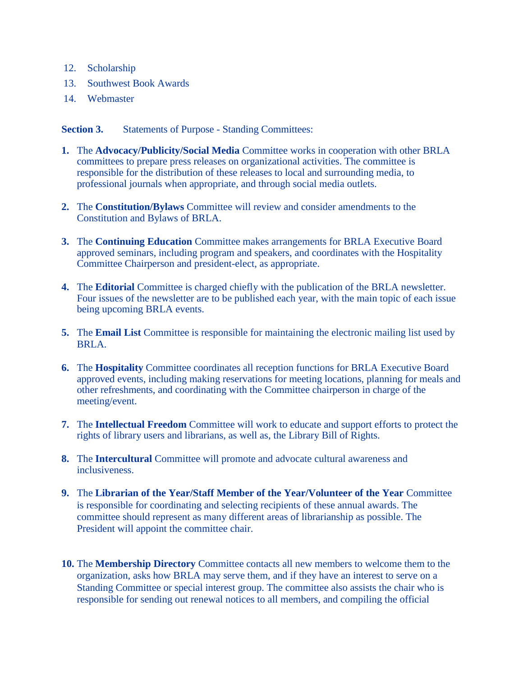- 12. Scholarship
- 13. Southwest Book Awards
- 14. Webmaster

**Section 3.** Statements of Purpose - Standing Committees:

- **1.** The **Advocacy/Publicity/Social Media** Committee works in cooperation with other BRLA committees to prepare press releases on organizational activities. The committee is responsible for the distribution of these releases to local and surrounding media, to professional journals when appropriate, and through social media outlets.
- **2.** The **Constitution/Bylaws** Committee will review and consider amendments to the Constitution and Bylaws of BRLA.
- **3.** The **Continuing Education** Committee makes arrangements for BRLA Executive Board approved seminars, including program and speakers, and coordinates with the Hospitality Committee Chairperson and president-elect, as appropriate.
- **4.** The **Editorial** Committee is charged chiefly with the publication of the BRLA newsletter. Four issues of the newsletter are to be published each year, with the main topic of each issue being upcoming BRLA events.
- **5.** The **Email List** Committee is responsible for maintaining the electronic mailing list used by BRLA.
- **6.** The **Hospitality** Committee coordinates all reception functions for BRLA Executive Board approved events, including making reservations for meeting locations, planning for meals and other refreshments, and coordinating with the Committee chairperson in charge of the meeting/event.
- **7.** The **Intellectual Freedom** Committee will work to educate and support efforts to protect the rights of library users and librarians, as well as, the Library Bill of Rights.
- **8.** The **Intercultural** Committee will promote and advocate cultural awareness and inclusiveness.
- **9.** The **Librarian of the Year/Staff Member of the Year/Volunteer of the Year** Committee is responsible for coordinating and selecting recipients of these annual awards. The committee should represent as many different areas of librarianship as possible. The President will appoint the committee chair.
- **10.** The **Membership Directory** Committee contacts all new members to welcome them to the organization, asks how BRLA may serve them, and if they have an interest to serve on a Standing Committee or special interest group. The committee also assists the chair who is responsible for sending out renewal notices to all members, and compiling the official